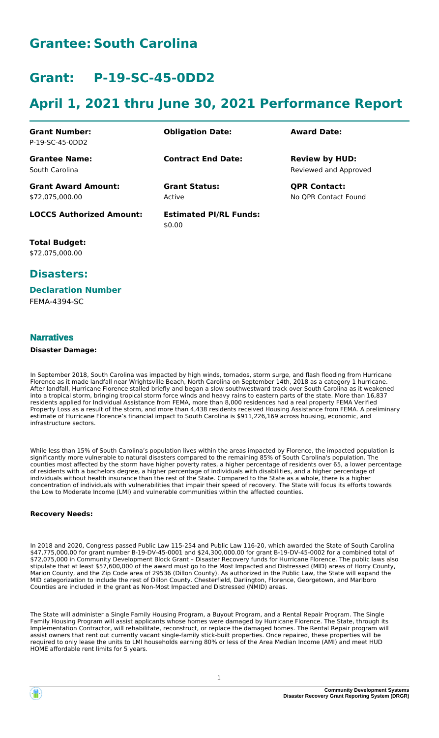### **Grantee: South Carolina**

## **Grant: P-19-SC-45-0DD2**

## **April 1, 2021 thru June 30, 2021 Performance Report**

| <b>Grant Number:</b><br>P-19-SC-45-0DD2       | <b>Obligation Date:</b>                 | <b>Award Date:</b>                             |
|-----------------------------------------------|-----------------------------------------|------------------------------------------------|
| <b>Grantee Name:</b><br>South Carolina        | <b>Contract End Date:</b>               | <b>Review by HUD:</b><br>Reviewed and Approved |
| <b>Grant Award Amount:</b><br>\$72,075,000.00 | <b>Grant Status:</b><br>Active          | <b>QPR Contact:</b><br>No QPR Contact Found    |
| <b>LOCCS Authorized Amount:</b>               | <b>Estimated PI/RL Funds:</b><br>\$0.00 |                                                |

**Total Budget:** \$72,075,000.00

### **Disasters:**

#### **Declaration Number**

FEMA-4394-SC

#### **Narratives**

#### **Disaster Damage:**

In September 2018, South Carolina was impacted by high winds, tornados, storm surge, and flash flooding from Hurricane Florence as it made landfall near Wrightsville Beach, North Carolina on September 14th, 2018 as a category 1 hurricane. After landfall, Hurricane Florence stalled briefly and began a slow southwestward track over South Carolina as it weakened into a tropical storm, bringing tropical storm force winds and heavy rains to eastern parts of the state. More than 16,837 residents applied for Individual Assistance from FEMA, more than 8,000 residences had a real property FEMA Verified Property Loss as a result of the storm, and more than 4,438 residents received Housing Assistance from FEMA. A preliminary estimate of Hurricane Florence's financial impact to South Carolina is \$911,226,169 across housing, economic, and infrastructure sectors.

While less than 15% of South Carolina's population lives within the areas impacted by Florence, the impacted population is significantly more vulnerable to natural disasters compared to the remaining 85% of South Carolina's population. The counties most affected by the storm have higher poverty rates, a higher percentage of residents over 65, a lower percentage of residents with a bachelors degree, a higher percentage of individuals with disabilities, and a higher percentage of individuals without health insurance than the rest of the State. Compared to the State as a whole, there is a higher concentration of individuals with vulnerabilities that impair their speed of recovery. The State will focus its efforts towards the Low to Moderate Income (LMI) and vulnerable communities within the affected counties.

#### **Recovery Needs:**

In 2018 and 2020, Congress passed Public Law 115-254 and Public Law 116-20, which awarded the State of South Carolina \$47,775,000.00 for grant number B-19-DV-45-0001 and \$24,300,000.00 for grant B-19-DV-45-0002 for a combined total of \$72,075,000 in Community Development Block Grant – Disaster Recovery funds for Hurricane Florence. The public laws also stipulate that at least \$57,600,000 of the award must go to the Most Impacted and Distressed (MID) areas of Horry County, Marion County, and the Zip Code area of 29536 (Dillon County). As authorized in the Public Law, the State will expand the MID categorization to include the rest of Dillon County. Chesterfield, Darlington, Florence, Georgetown, and Marlboro Counties are included in the grant as Non-Most Impacted and Distressed (NMID) areas.

The State will administer a Single Family Housing Program, a Buyout Program, and a Rental Repair Program. The Single Family Housing Program will assist applicants whose homes were damaged by Hurricane Florence. The State, through its Implementation Contractor, will rehabilitate, reconstruct, or replace the damaged homes. The Rental Repair program will assist owners that rent out currently vacant single-family stick-built properties. Once repaired, these properties will be required to only lease the units to LMI households earning 80% or less of the Area Median Income (AMI) and meet HUD HOME affordable rent limits for 5 years.

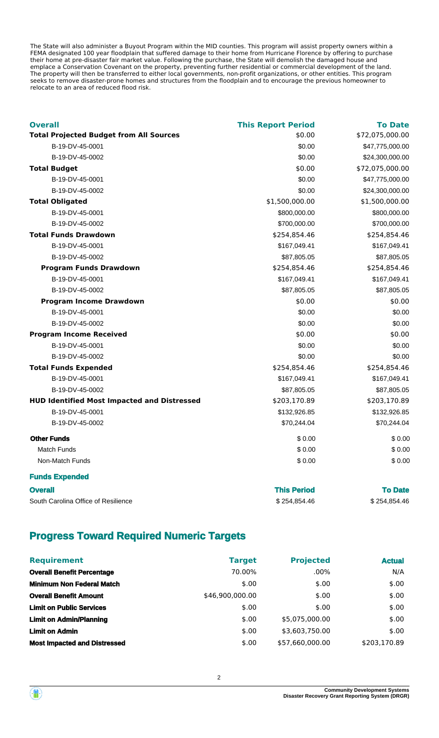The State will also administer a Buyout Program within the MID counties. This program will assist property owners within a FEMA designated 100 year floodplain that suffered damage to their home from Hurricane Florence by offering to purchase their home at pre-disaster fair market value. Following the purchase, the State will demolish the damaged house and emplace a Conservation Covenant on the property, preventing further residential or commercial development of the land. The property will then be transferred to either local governments, non-profit organizations, or other entities. This program seeks to remove disaster-prone homes and structures from the floodplain and to encourage the previous homeowner to relocate to an area of reduced flood risk.

| <b>Overall</b>                                     | <b>This Report Period</b> | <b>To Date</b>  |
|----------------------------------------------------|---------------------------|-----------------|
| <b>Total Projected Budget from All Sources</b>     | \$0.00                    | \$72,075,000.00 |
| B-19-DV-45-0001                                    | \$0.00                    | \$47,775,000.00 |
| B-19-DV-45-0002                                    | \$0.00                    | \$24,300,000.00 |
| <b>Total Budget</b>                                | \$0.00                    | \$72,075,000.00 |
| B-19-DV-45-0001                                    | \$0.00                    | \$47,775,000.00 |
| B-19-DV-45-0002                                    | \$0.00                    | \$24,300,000.00 |
| <b>Total Obligated</b>                             | \$1,500,000.00            | \$1,500,000.00  |
| B-19-DV-45-0001                                    | \$800,000.00              | \$800,000.00    |
| B-19-DV-45-0002                                    | \$700,000.00              | \$700,000.00    |
| <b>Total Funds Drawdown</b>                        | \$254,854.46              | \$254,854.46    |
| B-19-DV-45-0001                                    | \$167,049.41              | \$167,049.41    |
| B-19-DV-45-0002                                    | \$87,805.05               | \$87,805.05     |
| <b>Program Funds Drawdown</b>                      | \$254,854.46              | \$254,854.46    |
| B-19-DV-45-0001                                    | \$167,049.41              | \$167,049.41    |
| B-19-DV-45-0002                                    | \$87,805.05               | \$87,805.05     |
| <b>Program Income Drawdown</b>                     | \$0.00                    | \$0.00          |
| B-19-DV-45-0001                                    | \$0.00                    | \$0.00          |
| B-19-DV-45-0002                                    | \$0.00                    | \$0.00          |
| <b>Program Income Received</b>                     | \$0.00                    | \$0.00          |
| B-19-DV-45-0001                                    | \$0.00                    | \$0.00          |
| B-19-DV-45-0002                                    | \$0.00                    | \$0.00          |
| <b>Total Funds Expended</b>                        | \$254,854.46              | \$254,854.46    |
| B-19-DV-45-0001                                    | \$167,049.41              | \$167,049.41    |
| B-19-DV-45-0002                                    | \$87,805.05               | \$87,805.05     |
| <b>HUD Identified Most Impacted and Distressed</b> | \$203,170.89              | \$203,170.89    |
| B-19-DV-45-0001                                    | \$132,926.85              | \$132,926.85    |
| B-19-DV-45-0002                                    | \$70,244.04               | \$70,244.04     |
| <b>Other Funds</b>                                 | \$0.00                    | \$0.00          |
| Match Funds                                        | \$0.00                    | \$0.00          |
| Non-Match Funds                                    | \$0.00                    | \$0.00          |
| <b>Funds Expended</b>                              |                           |                 |

| <b>Overall</b>                      | <b>This Period</b> | <b>To Date</b> |
|-------------------------------------|--------------------|----------------|
| South Carolina Office of Resilience | \$254.854.46       | \$254.854.46   |

### **Progress Toward Required Numeric Targets**

| <b>Requirement</b>                  | <b>Target</b>   | <b>Projected</b> | <b>Actual</b> |
|-------------------------------------|-----------------|------------------|---------------|
| <b>Overall Benefit Percentage</b>   | 70.00%          | $.00\%$          | N/A           |
| <b>Minimum Non Federal Match</b>    | \$.00           | \$.00            | \$.00         |
| <b>Overall Benefit Amount</b>       | \$46,900,000.00 | \$.00            | \$.00         |
| <b>Limit on Public Services</b>     | \$.00           | \$.00            | \$.00         |
| <b>Limit on Admin/Planning</b>      | \$.00           | \$5.075.000.00   | \$.00         |
| <b>Limit on Admin</b>               | \$.00           | \$3,603,750.00   | \$.00         |
| <b>Most Impacted and Distressed</b> | \$.00           | \$57.660.000.00  | \$203.170.89  |

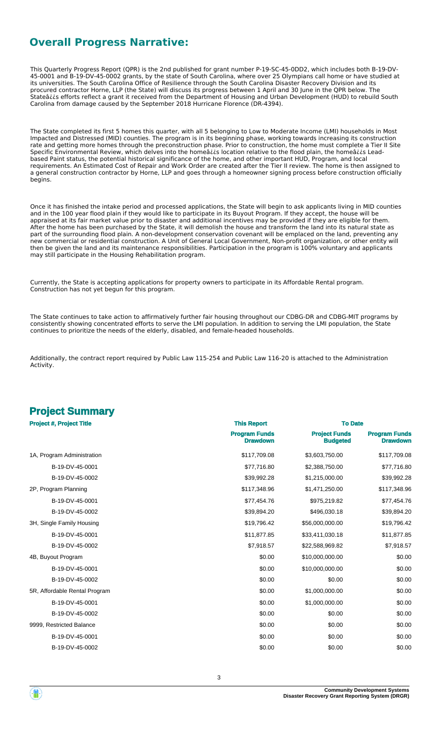### **Overall Progress Narrative:**

This Quarterly Progress Report (QPR) is the 2nd published for grant number P-19-SC-45-0DD2, which includes both B-19-DV-45-0001 and B-19-DV-45-0002 grants, by the state of South Carolina, where over 25 Olympians call home or have studied at its universities. The South Carolina Office of Resilience through the South Carolina Disaster Recovery Division and its procured contractor Horne, LLP (the State) will discuss its progress between 1 April and 30 June in the QPR below. The Stateâ¿¿s efforts reflect a grant it received from the Department of Housing and Urban Development (HUD) to rebuild South Carolina from damage caused by the September 2018 Hurricane Florence (DR-4394).

The State completed its first 5 homes this quarter, with all 5 belonging to Low to Moderate Income (LMI) households in Most Impacted and Distressed (MID) counties. The program is in its beginning phase, working towards increasing its construction rate and getting more homes through the preconstruction phase. Prior to construction, the home must complete a Tier II Site Specific Environmental Review, which delves into the homeâ¿¿s location relative to the flood plain, the homeâ¿¿s Leadbased Paint status, the potential historical significance of the home, and other important HUD, Program, and local requirements. An Estimated Cost of Repair and Work Order are created after the Tier II review. The home is then assigned to a general construction contractor by Horne, LLP and goes through a homeowner signing process before construction officially begins.

Once it has finished the intake period and processed applications, the State will begin to ask applicants living in MID counties and in the 100 year flood plain if they would like to participate in its Buyout Program. If they accept, the house will be appraised at its fair market value prior to disaster and additional incentives may be provided if they are eligible for them. After the home has been purchased by the State, it will demolish the house and transform the land into its natural state as part of the surrounding flood plain. A non-development conservation covenant will be emplaced on the land, preventing any new commercial or residential construction. A Unit of General Local Government, Non-profit organization, or other entity will then be given the land and its maintenance responsibilities. Participation in the program is 100% voluntary and applicants may still participate in the Housing Rehabilitation program.

Currently, the State is accepting applications for property owners to participate in its Affordable Rental program. Construction has not yet begun for this program.

The State continues to take action to affirmatively further fair housing throughout our CDBG-DR and CDBG-MIT programs by consistently showing concentrated efforts to serve the LMI population. In addition to serving the LMI population, the State continues to prioritize the needs of the elderly, disabled, and female-headed households.

Additionally, the contract report required by Public Law 115-254 and Public Law 116-20 is attached to the Administration Activity.

## **Project Summary**

| <b>Project #, Project Title</b> | <b>This Report</b>                      | <b>To Date</b>                          |                                         |  |
|---------------------------------|-----------------------------------------|-----------------------------------------|-----------------------------------------|--|
|                                 | <b>Program Funds</b><br><b>Drawdown</b> | <b>Project Funds</b><br><b>Budgeted</b> | <b>Program Funds</b><br><b>Drawdown</b> |  |
| 1A, Program Administration      | \$117,709.08                            | \$3,603,750.00                          | \$117,709.08                            |  |
| B-19-DV-45-0001                 | \$77,716.80                             | \$2,388,750.00                          | \$77,716.80                             |  |
| B-19-DV-45-0002                 | \$39,992.28                             | \$1,215,000.00                          | \$39,992.28                             |  |
| 2P, Program Planning            | \$117,348.96                            | \$1,471,250.00                          | \$117,348.96                            |  |
| B-19-DV-45-0001                 | \$77,454.76                             | \$975,219.82                            | \$77,454.76                             |  |
| B-19-DV-45-0002                 | \$39,894.20                             | \$496,030.18                            | \$39,894.20                             |  |
| 3H, Single Family Housing       | \$19,796.42                             | \$56,000,000.00                         | \$19,796.42                             |  |
| B-19-DV-45-0001                 | \$11,877.85                             | \$33,411,030.18                         | \$11,877.85                             |  |
| B-19-DV-45-0002                 | \$7,918.57                              | \$22,588,969.82                         | \$7,918.57                              |  |
| 4B, Buyout Program              | \$0.00                                  | \$10,000,000.00                         | \$0.00                                  |  |
| B-19-DV-45-0001                 | \$0.00                                  | \$10,000,000.00                         | \$0.00                                  |  |
| B-19-DV-45-0002                 | \$0.00                                  | \$0.00                                  | \$0.00                                  |  |
| 5R, Affordable Rental Program   | \$0.00                                  | \$1,000,000.00                          | \$0.00                                  |  |
| B-19-DV-45-0001                 | \$0.00                                  | \$1,000,000.00                          | \$0.00                                  |  |
| B-19-DV-45-0002                 | \$0.00                                  | \$0.00                                  | \$0.00                                  |  |
| 9999, Restricted Balance        | \$0.00                                  | \$0.00                                  | \$0.00                                  |  |
| B-19-DV-45-0001                 | \$0.00                                  | \$0.00                                  | \$0.00                                  |  |
| B-19-DV-45-0002                 | \$0.00                                  | \$0.00                                  | \$0.00                                  |  |

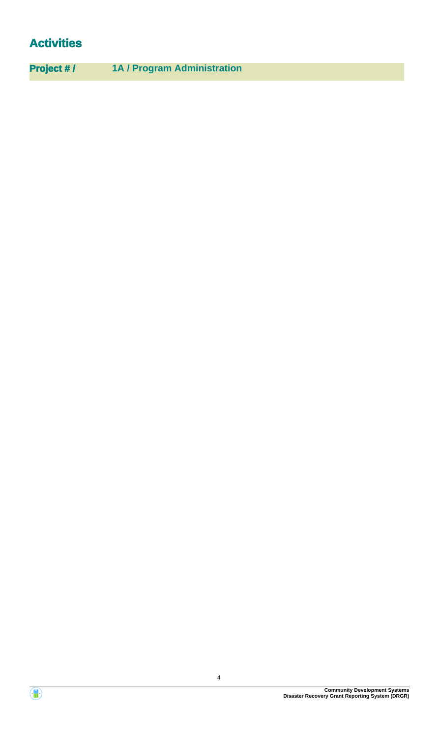## **Activities**

**Project # / 1A / Program Administration**

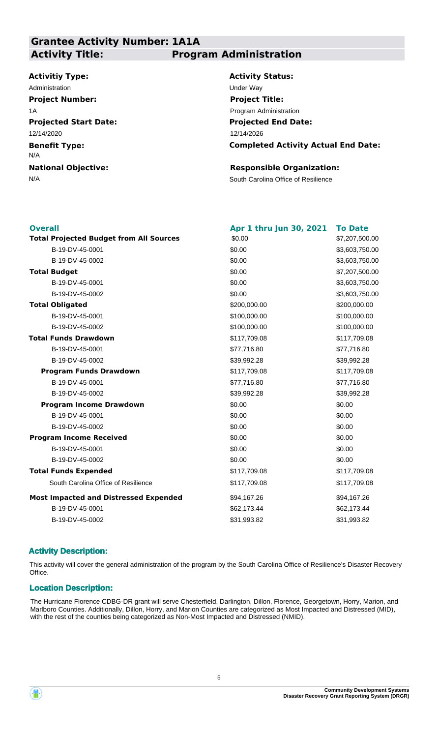### **Grantee Activity Number: 1A1A Activity Title: Program Administration**

#### **Activitiy Type:**

**Projected Start Date: Benefit Type: National Objective:** 12/14/2020 N/A Administration **Under Way Project Number:** 1A

**Activity Status: Projected End Date: Completed Activity Actual End Date:** 12/14/2026 **Project Title:** Program Administration

#### **Responsible Organization:**

N/A South Carolina Office of Resilience

| <b>Overall</b>                                 | Apr 1 thru Jun 30, 2021 | <b>To Date</b> |
|------------------------------------------------|-------------------------|----------------|
| <b>Total Projected Budget from All Sources</b> | \$0.00                  | \$7,207,500.00 |
| B-19-DV-45-0001                                | \$0.00                  | \$3,603,750.00 |
| B-19-DV-45-0002                                | \$0.00                  | \$3,603,750.00 |
| <b>Total Budget</b>                            | \$0.00                  | \$7,207,500.00 |
| B-19-DV-45-0001                                | \$0.00                  | \$3,603,750.00 |
| B-19-DV-45-0002                                | \$0.00                  | \$3,603,750.00 |
| <b>Total Obligated</b>                         | \$200,000.00            | \$200,000.00   |
| B-19-DV-45-0001                                | \$100,000.00            | \$100,000.00   |
| B-19-DV-45-0002                                | \$100,000.00            | \$100,000.00   |
| <b>Total Funds Drawdown</b>                    | \$117,709.08            | \$117,709.08   |
| B-19-DV-45-0001                                | \$77,716.80             | \$77,716.80    |
| B-19-DV-45-0002                                | \$39,992.28             | \$39,992.28    |
| <b>Program Funds Drawdown</b>                  | \$117,709.08            | \$117,709.08   |
| B-19-DV-45-0001                                | \$77,716.80             | \$77,716.80    |
| B-19-DV-45-0002                                | \$39,992.28             | \$39,992.28    |
| <b>Program Income Drawdown</b>                 | \$0.00                  | \$0.00         |
| B-19-DV-45-0001                                | \$0.00                  | \$0.00         |
| B-19-DV-45-0002                                | \$0.00                  | \$0.00         |
| <b>Program Income Received</b>                 | \$0.00                  | \$0.00         |
| B-19-DV-45-0001                                | \$0.00                  | \$0.00         |
| B-19-DV-45-0002                                | \$0.00                  | \$0.00         |
| <b>Total Funds Expended</b>                    | \$117,709.08            | \$117,709.08   |
| South Carolina Office of Resilience            | \$117,709.08            | \$117,709.08   |
| <b>Most Impacted and Distressed Expended</b>   | \$94,167.26             | \$94,167.26    |
| B-19-DV-45-0001                                | \$62,173.44             | \$62,173.44    |
| B-19-DV-45-0002                                | \$31,993.82             | \$31,993.82    |
|                                                |                         |                |

#### **Activity Description:**

This activity will cover the general administration of the program by the South Carolina Office of Resilience's Disaster Recovery Office.

#### **Location Description:**

The Hurricane Florence CDBG-DR grant will serve Chesterfield, Darlington, Dillon, Florence, Georgetown, Horry, Marion, and Marlboro Counties. Additionally, Dillon, Horry, and Marion Counties are categorized as Most Impacted and Distressed (MID), with the rest of the counties being categorized as Non-Most Impacted and Distressed (NMID).

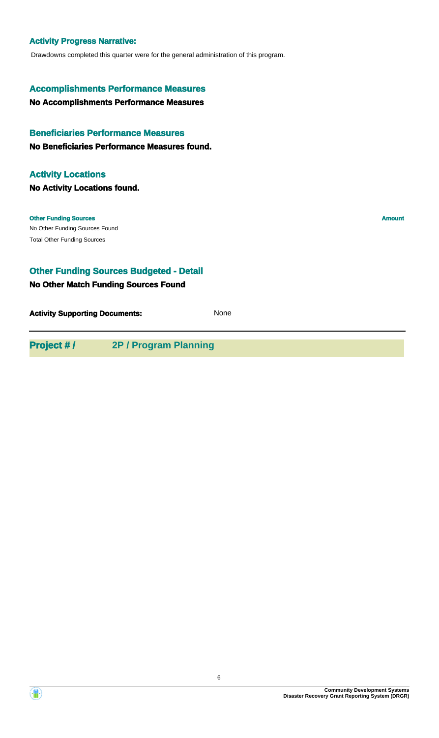#### **Activity Progress Narrative:**

Drawdowns completed this quarter were for the general administration of this program.

#### **Accomplishments Performance Measures**

**No Accomplishments Performance Measures**

#### **Beneficiaries Performance Measures**

**No Beneficiaries Performance Measures found.**

#### **Activity Locations**

**No Activity Locations found.**

#### **Other Funding Sources Amount**

No Other Funding Sources Found Total Other Funding Sources

#### **Other Funding Sources Budgeted - Detail**

#### **No Other Match Funding Sources Found**

**Activity Supporting Documents:** None

**Project # / 2P / Program Planning**

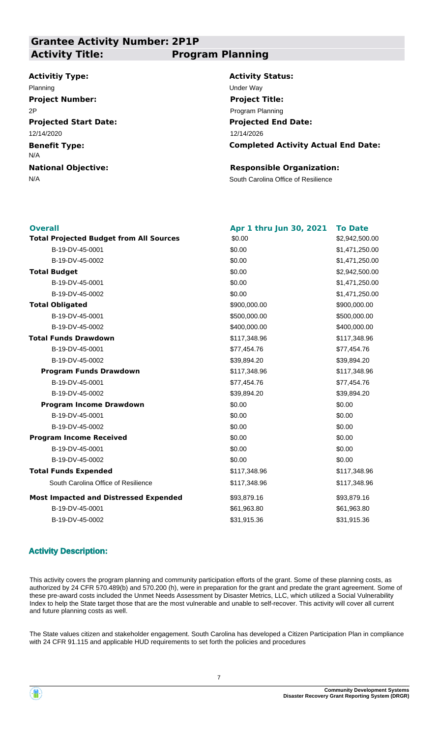### **Grantee Activity Number: 2P1P Activity Title: Program Planning**

#### **Activitiy Type:**

**Projected Start Date: Benefit Type: National Objective:** 12/14/2020 N/A Planning Under Way **Project Number:** 2P

**Activity Status: Projected End Date:** 12/14/2026 **Project Title:** Program Planning

**Completed Activity Actual End Date:**

#### **Responsible Organization:**

N/A South Carolina Office of Resilience

| <b>Overall</b>                                 | Apr 1 thru Jun 30, 2021 | <b>To Date</b> |
|------------------------------------------------|-------------------------|----------------|
| <b>Total Projected Budget from All Sources</b> | \$0.00                  | \$2,942,500.00 |
| B-19-DV-45-0001                                | \$0.00                  | \$1,471,250.00 |
| B-19-DV-45-0002                                | \$0.00                  | \$1,471,250.00 |
| <b>Total Budget</b>                            | \$0.00                  | \$2,942,500.00 |
| B-19-DV-45-0001                                | \$0.00                  | \$1,471,250.00 |
| B-19-DV-45-0002                                | \$0.00                  | \$1,471,250.00 |
| <b>Total Obligated</b>                         | \$900,000.00            | \$900,000.00   |
| B-19-DV-45-0001                                | \$500,000.00            | \$500,000.00   |
| B-19-DV-45-0002                                | \$400,000.00            | \$400,000.00   |
| <b>Total Funds Drawdown</b>                    | \$117,348.96            | \$117,348.96   |
| B-19-DV-45-0001                                | \$77,454.76             | \$77,454.76    |
| B-19-DV-45-0002                                | \$39,894.20             | \$39,894.20    |
| <b>Program Funds Drawdown</b>                  | \$117,348.96            | \$117,348.96   |
| B-19-DV-45-0001                                | \$77,454.76             | \$77,454.76    |
| B-19-DV-45-0002                                | \$39,894.20             | \$39,894.20    |
| <b>Program Income Drawdown</b>                 | \$0.00                  | \$0.00         |
| B-19-DV-45-0001                                | \$0.00                  | \$0.00         |
| B-19-DV-45-0002                                | \$0.00                  | \$0.00         |
| <b>Program Income Received</b>                 | \$0.00                  | \$0.00         |
| B-19-DV-45-0001                                | \$0.00                  | \$0.00         |
| B-19-DV-45-0002                                | \$0.00                  | \$0.00         |
| <b>Total Funds Expended</b>                    | \$117,348.96            | \$117,348.96   |
| South Carolina Office of Resilience            | \$117,348.96            | \$117,348.96   |
| <b>Most Impacted and Distressed Expended</b>   | \$93,879.16             | \$93,879.16    |
| B-19-DV-45-0001                                | \$61,963.80             | \$61,963.80    |
| B-19-DV-45-0002                                | \$31,915.36             | \$31,915.36    |
|                                                |                         |                |

#### **Activity Description:**

This activity covers the program planning and community participation efforts of the grant. Some of these planning costs, as authorized by 24 CFR 570.489(b) and 570.200 (h), were in preparation for the grant and predate the grant agreement. Some of these pre-award costs included the Unmet Needs Assessment by Disaster Metrics, LLC, which utilized a Social Vulnerability Index to help the State target those that are the most vulnerable and unable to self-recover. This activity will cover all current and future planning costs as well.

The State values citizen and stakeholder engagement. South Carolina has developed a Citizen Participation Plan in compliance with 24 CFR 91.115 and applicable HUD requirements to set forth the policies and procedures

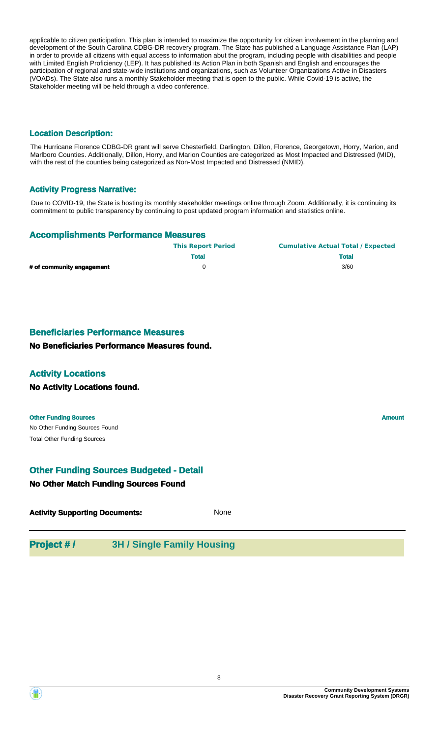applicable to citizen participation. This plan is intended to maximize the opportunity for citizen involvement in the planning and development of the South Carolina CDBG-DR recovery program. The State has published a Language Assistance Plan (LAP) in order to provide all citizens with equal access to information abut the program, including people with disabilities and people with Limited English Proficiency (LEP). It has published its Action Plan in both Spanish and English and encourages the participation of regional and state-wide institutions and organizations, such as Volunteer Organizations Active in Disasters (VOADs). The State also runs a monthly Stakeholder meeting that is open to the public. While Covid-19 is active, the Stakeholder meeting will be held through a video conference.

#### **Location Description:**

The Hurricane Florence CDBG-DR grant will serve Chesterfield, Darlington, Dillon, Florence, Georgetown, Horry, Marion, and Marlboro Counties. Additionally, Dillon, Horry, and Marion Counties are categorized as Most Impacted and Distressed (MID), with the rest of the counties being categorized as Non-Most Impacted and Distressed (NMID).

#### **Activity Progress Narrative:**

Due to COVID-19, the State is hosting its monthly stakeholder meetings online through Zoom. Additionally, it is continuing its commitment to public transparency by continuing to post updated program information and statistics online.

#### **Accomplishments Performance Measures**

|                           | <b>This Report Period</b> | <b>Cumulative Actual Total / Expected</b> |
|---------------------------|---------------------------|-------------------------------------------|
|                           | <b>Total</b>              | <b>Total</b>                              |
| # of community engagement |                           | 3/60                                      |

#### **Beneficiaries Performance Measures**

**No Beneficiaries Performance Measures found.**

#### **Activity Locations**

**No Activity Locations found.**

#### **Other Funding Sources Amount**

No Other Funding Sources Found Total Other Funding Sources

#### **Other Funding Sources Budgeted - Detail**

#### **No Other Match Funding Sources Found**

| <b>Activity Supporting Documents:</b> | None |
|---------------------------------------|------|
|---------------------------------------|------|

### **Project # / 3H / Single Family Housing**

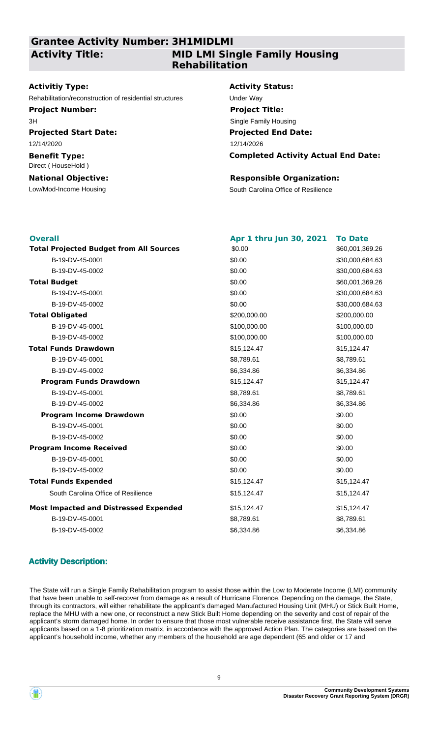### **Grantee Activity Number: 3H1MIDLMI Activity Title:**

### **MID LMI Single Family Housing Rehabilitation**

#### **Activitiy Type:**

Rehabilitation/reconstruction of residential structures Under Way

**Project Number:** 3H

**Projected Start Date:** 12/14/2020

#### **Benefit Type:** Direct ( HouseHold )

**National Objective:**

#### **Activity Status:**

**Projected End Date: Completed Activity Actual End Date:** 12/14/2026 **Project Title:** Single Family Housing

#### **Responsible Organization:**

Low/Mod-Income Housing The South Carolina Office of Resilience

| <b>Overall</b>                                 | Apr 1 thru Jun 30, 2021 | <b>To Date</b>  |
|------------------------------------------------|-------------------------|-----------------|
| <b>Total Projected Budget from All Sources</b> | \$0.00                  | \$60,001,369.26 |
| B-19-DV-45-0001                                | \$0.00                  | \$30,000,684.63 |
| B-19-DV-45-0002                                | \$0.00                  | \$30,000,684.63 |
| <b>Total Budget</b>                            | \$0.00                  | \$60,001,369.26 |
| B-19-DV-45-0001                                | \$0.00                  | \$30,000,684.63 |
| B-19-DV-45-0002                                | \$0.00                  | \$30,000,684.63 |
| <b>Total Obligated</b>                         | \$200,000.00            | \$200,000.00    |
| B-19-DV-45-0001                                | \$100,000.00            | \$100,000.00    |
| B-19-DV-45-0002                                | \$100,000.00            | \$100,000.00    |
| <b>Total Funds Drawdown</b>                    | \$15,124.47             | \$15,124.47     |
| B-19-DV-45-0001                                | \$8,789.61              | \$8,789.61      |
| B-19-DV-45-0002                                | \$6,334.86              | \$6,334.86      |
| <b>Program Funds Drawdown</b>                  | \$15,124.47             | \$15,124.47     |
| B-19-DV-45-0001                                | \$8,789.61              | \$8,789.61      |
| B-19-DV-45-0002                                | \$6,334.86              | \$6,334.86      |
| <b>Program Income Drawdown</b>                 | \$0.00                  | \$0.00          |
| B-19-DV-45-0001                                | \$0.00                  | \$0.00          |
| B-19-DV-45-0002                                | \$0.00                  | \$0.00          |
| <b>Program Income Received</b>                 | \$0.00                  | \$0.00          |
| B-19-DV-45-0001                                | \$0.00                  | \$0.00          |
| B-19-DV-45-0002                                | \$0.00                  | \$0.00          |
| <b>Total Funds Expended</b>                    | \$15,124.47             | \$15,124.47     |
| South Carolina Office of Resilience            | \$15,124.47             | \$15,124.47     |
| <b>Most Impacted and Distressed Expended</b>   | \$15,124.47             | \$15,124.47     |
| B-19-DV-45-0001                                | \$8,789.61              | \$8,789.61      |
| B-19-DV-45-0002                                | \$6,334.86              | \$6,334.86      |

#### **Activity Description:**

The State will run a Single Family Rehabilitation program to assist those within the Low to Moderate Income (LMI) community that have been unable to self-recover from damage as a result of Hurricane Florence. Depending on the damage, the State, through its contractors, will either rehabilitate the applicant's damaged Manufactured Housing Unit (MHU) or Stick Built Home, replace the MHU with a new one, or reconstruct a new Stick Built Home depending on the severity and cost of repair of the applicant's storm damaged home. In order to ensure that those most vulnerable receive assistance first, the State will serve applicants based on a 1-8 prioritization matrix, in accordance with the approved Action Plan. The categories are based on the applicant's household income, whether any members of the household are age dependent (65 and older or 17 and

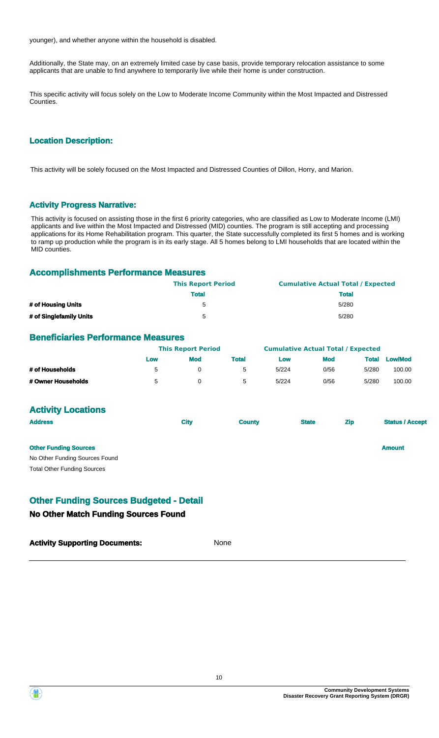younger), and whether anyone within the household is disabled.

Additionally, the State may, on an extremely limited case by case basis, provide temporary relocation assistance to some applicants that are unable to find anywhere to temporarily live while their home is under construction.

This specific activity will focus solely on the Low to Moderate Income Community within the Most Impacted and Distressed Counties.

#### **Location Description:**

This activity will be solely focused on the Most Impacted and Distressed Counties of Dillon, Horry, and Marion.

#### **Activity Progress Narrative:**

This activity is focused on assisting those in the first 6 priority categories, who are classified as Low to Moderate Income (LMI) applicants and live within the Most Impacted and Distressed (MID) counties. The program is still accepting and processing applications for its Home Rehabilitation program. This quarter, the State successfully completed its first 5 homes and is working to ramp up production while the program is in its early stage. All 5 homes belong to LMI households that are located within the MID counties.

#### **Accomplishments Performance Measures**

|                         | <b>This Report Period</b> | <b>Cumulative Actual Total / Expected</b> |
|-------------------------|---------------------------|-------------------------------------------|
|                         | <b>Total</b>              | <b>Total</b>                              |
| # of Housing Units      | h                         | 5/280                                     |
| # of Singlefamily Units | 5                         | 5/280                                     |

#### **Beneficiaries Performance Measures**

|                    |     | <b>This Report Period</b> |                      | <b>Cumulative Actual Total / Expected</b> |            |              |                |
|--------------------|-----|---------------------------|----------------------|-------------------------------------------|------------|--------------|----------------|
|                    | Low | <b>Mod</b>                | Total                | Low                                       | <b>Mod</b> | <b>Total</b> | <b>Low/Mod</b> |
| # of Households    | 5   |                           | $\ddot{\phantom{1}}$ | 5/224                                     | 0/56       | 5/280        | 100.00         |
| # Owner Households | 5   |                           | $\ddot{\phantom{1}}$ | 5/224                                     | 0/56       | 5/280        | 100.00         |

#### **Activity Locations**

| <b>Address</b>                     | <b>City</b> | <b>County</b> | <b>State</b> | <b>Zip</b> | <b>Status / Accept</b> |
|------------------------------------|-------------|---------------|--------------|------------|------------------------|
| <b>Other Funding Sources</b>       |             |               |              |            | <b>Amount</b>          |
| No Other Funding Sources Found     |             |               |              |            |                        |
| <b>Total Other Funding Sources</b> |             |               |              |            |                        |

#### **Other Funding Sources Budgeted - Detail**

#### **No Other Match Funding Sources Found**

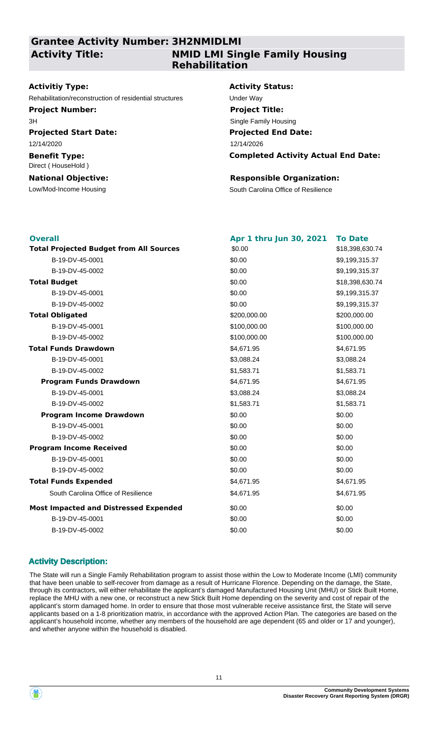#### **Grantee Activity Number: 3H2NMIDLMI Activity Title:**

### **NMID LMI Single Family Housing Rehabilitation**

#### **Activitiy Type:**

Rehabilitation/reconstruction of residential structures Under Way

**Project Number:** 3H

**Projected Start Date:** 12/14/2020

#### **Benefit Type:** Direct ( HouseHold )

### **National Objective:**

#### **Activity Status:**

**Projected End Date: Completed Activity Actual End Date:** 12/14/2026 **Project Title:** Single Family Housing

#### **Responsible Organization:**

Low/Mod-Income Housing The South Carolina Office of Resilience

| <b>Overall</b>                                 | Apr 1 thru Jun 30, 2021 | <b>To Date</b>  |
|------------------------------------------------|-------------------------|-----------------|
| <b>Total Projected Budget from All Sources</b> | \$0.00                  | \$18,398,630.74 |
| B-19-DV-45-0001                                | \$0.00                  | \$9,199,315.37  |
| B-19-DV-45-0002                                | \$0.00                  | \$9,199,315.37  |
| <b>Total Budget</b>                            | \$0.00                  | \$18,398,630.74 |
| B-19-DV-45-0001                                | \$0.00                  | \$9,199,315.37  |
| B-19-DV-45-0002                                | \$0.00                  | \$9,199,315.37  |
| <b>Total Obligated</b>                         | \$200,000.00            | \$200,000.00    |
| B-19-DV-45-0001                                | \$100,000.00            | \$100,000.00    |
| B-19-DV-45-0002                                | \$100,000.00            | \$100,000.00    |
| <b>Total Funds Drawdown</b>                    | \$4,671.95              | \$4,671.95      |
| B-19-DV-45-0001                                | \$3,088.24              | \$3,088.24      |
| B-19-DV-45-0002                                | \$1,583.71              | \$1,583.71      |
| <b>Program Funds Drawdown</b>                  | \$4,671.95              | \$4,671.95      |
| B-19-DV-45-0001                                | \$3,088.24              | \$3,088.24      |
| B-19-DV-45-0002                                | \$1,583.71              | \$1,583.71      |
| <b>Program Income Drawdown</b>                 | \$0.00                  | \$0.00          |
| B-19-DV-45-0001                                | \$0.00                  | \$0.00          |
| B-19-DV-45-0002                                | \$0.00                  | \$0.00          |
| <b>Program Income Received</b>                 | \$0.00                  | \$0.00          |
| B-19-DV-45-0001                                | \$0.00                  | \$0.00          |
| B-19-DV-45-0002                                | \$0.00                  | \$0.00          |
| <b>Total Funds Expended</b>                    | \$4,671.95              | \$4,671.95      |
| South Carolina Office of Resilience            | \$4,671.95              | \$4,671.95      |
| <b>Most Impacted and Distressed Expended</b>   | \$0.00                  | \$0.00          |
| B-19-DV-45-0001                                | \$0.00                  | \$0.00          |
| B-19-DV-45-0002                                | \$0.00                  | \$0.00          |

#### **Activity Description:**

The State will run a Single Family Rehabilitation program to assist those within the Low to Moderate Income (LMI) community that have been unable to self-recover from damage as a result of Hurricane Florence. Depending on the damage, the State, through its contractors, will either rehabilitate the applicant's damaged Manufactured Housing Unit (MHU) or Stick Built Home, replace the MHU with a new one, or reconstruct a new Stick Built Home depending on the severity and cost of repair of the applicant's storm damaged home. In order to ensure that those most vulnerable receive assistance first, the State will serve applicants based on a 1-8 prioritization matrix, in accordance with the approved Action Plan. The categories are based on the applicant's household income, whether any members of the household are age dependent (65 and older or 17 and younger), and whether anyone within the household is disabled.

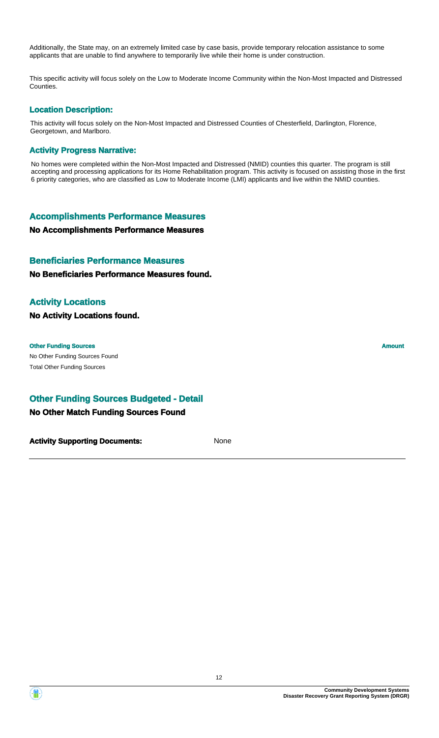Additionally, the State may, on an extremely limited case by case basis, provide temporary relocation assistance to some applicants that are unable to find anywhere to temporarily live while their home is under construction.

This specific activity will focus solely on the Low to Moderate Income Community within the Non-Most Impacted and Distressed Counties.

#### **Location Description:**

This activity will focus solely on the Non-Most Impacted and Distressed Counties of Chesterfield, Darlington, Florence, Georgetown, and Marlboro.

#### **Activity Progress Narrative:**

No homes were completed within the Non-Most Impacted and Distressed (NMID) counties this quarter. The program is still accepting and processing applications for its Home Rehabilitation program. This activity is focused on assisting those in the first 6 priority categories, who are classified as Low to Moderate Income (LMI) applicants and live within the NMID counties.

#### **Accomplishments Performance Measures**

#### **No Accomplishments Performance Measures**

#### **Beneficiaries Performance Measures**

#### **No Beneficiaries Performance Measures found.**

#### **Activity Locations**

**No Activity Locations found.**

#### **Other Funding Sources Amount Amount Amount Amount Amount Amount Amount**

No Other Funding Sources Found Total Other Funding Sources

#### **Other Funding Sources Budgeted - Detail**

#### **No Other Match Funding Sources Found**

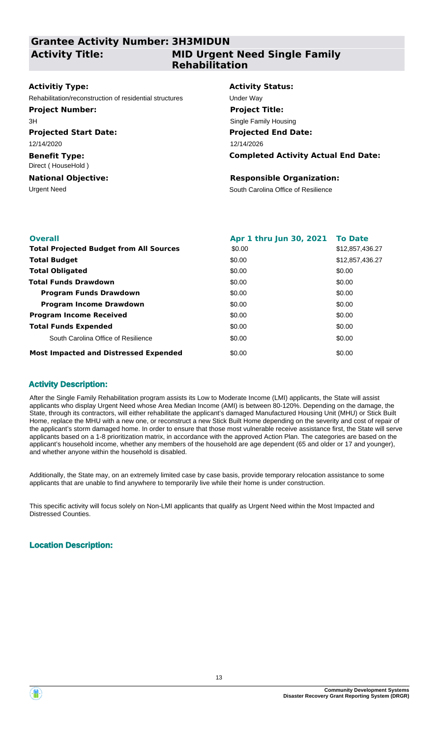### **Grantee Activity Number: 3H3MIDUN Activity Title:**

#### **MID Urgent Need Single Family Rehabilitation**

#### **Activitiy Type:**

Rehabilitation/reconstruction of residential structures Under Way

#### **Project Number:**

3H

#### **Projected Start Date:**

12/14/2020

**Benefit Type:** Direct ( HouseHold )

#### **National Objective:**

#### **Activity Status:**

**Projected End Date: Completed Activity Actual End Date:** 12/14/2026 **Project Title:** Single Family Housing

#### **Responsible Organization:**

Urgent Need South Carolina Office of Resilience

| <b>Overall</b>                                 | Apr 1 thru Jun 30, 2021 | <b>To Date</b>  |
|------------------------------------------------|-------------------------|-----------------|
| <b>Total Projected Budget from All Sources</b> | \$0.00                  | \$12,857,436.27 |
| <b>Total Budget</b>                            | \$0.00                  | \$12,857,436.27 |
| <b>Total Obligated</b>                         | \$0.00                  | \$0.00          |
| <b>Total Funds Drawdown</b>                    | \$0.00                  | \$0.00          |
| <b>Program Funds Drawdown</b>                  | \$0.00                  | \$0.00          |
| <b>Program Income Drawdown</b>                 | \$0.00                  | \$0.00          |
| <b>Program Income Received</b>                 | \$0.00                  | \$0.00          |
| <b>Total Funds Expended</b>                    | \$0.00                  | \$0.00          |
| South Carolina Office of Resilience            | \$0.00                  | \$0.00          |
| <b>Most Impacted and Distressed Expended</b>   | \$0.00                  | \$0.00          |

#### **Activity Description:**

After the Single Family Rehabilitation program assists its Low to Moderate Income (LMI) applicants, the State will assist applicants who display Urgent Need whose Area Median Income (AMI) is between 80-120%. Depending on the damage, the State, through its contractors, will either rehabilitate the applicant's damaged Manufactured Housing Unit (MHU) or Stick Built Home, replace the MHU with a new one, or reconstruct a new Stick Built Home depending on the severity and cost of repair of the applicant's storm damaged home. In order to ensure that those most vulnerable receive assistance first, the State will serve applicants based on a 1-8 prioritization matrix, in accordance with the approved Action Plan. The categories are based on the applicant's household income, whether any members of the household are age dependent (65 and older or 17 and younger), and whether anyone within the household is disabled.

Additionally, the State may, on an extremely limited case by case basis, provide temporary relocation assistance to some applicants that are unable to find anywhere to temporarily live while their home is under construction.

This specific activity will focus solely on Non-LMI applicants that qualify as Urgent Need within the Most Impacted and Distressed Counties.

#### **Location Description:**

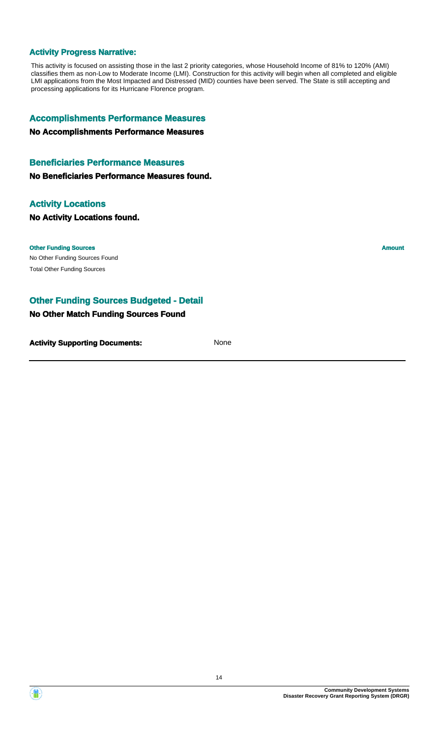#### **Activity Progress Narrative:**

This activity is focused on assisting those in the last 2 priority categories, whose Household Income of 81% to 120% (AMI) classifies them as non-Low to Moderate Income (LMI). Construction for this activity will begin when all completed and eligible LMI applications from the Most Impacted and Distressed (MID) counties have been served. The State is still accepting and processing applications for its Hurricane Florence program.

#### **Accomplishments Performance Measures**

**No Accomplishments Performance Measures**

#### **Beneficiaries Performance Measures**

**No Beneficiaries Performance Measures found.**

#### **Activity Locations**

**No Activity Locations found.**

No Other Funding Sources Found **Other Funding Sources Amount Amount Amount Amount Amount Amount Amount** Total Other Funding Sources

#### **Other Funding Sources Budgeted - Detail**

#### **No Other Match Funding Sources Found**

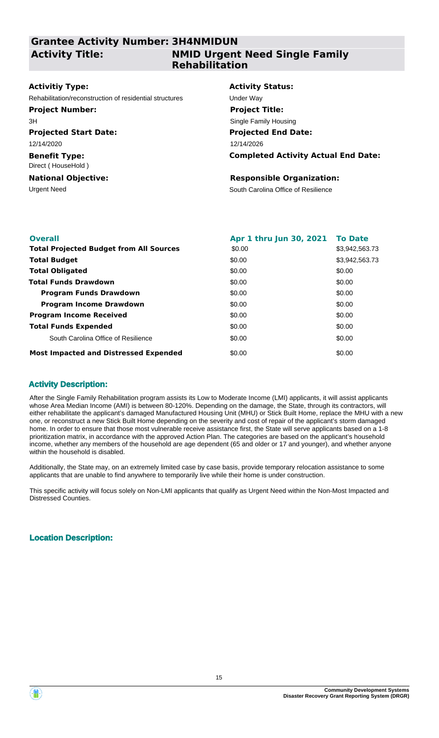### **Grantee Activity Number: 3H4NMIDUN Activity Title:**

### **NMID Urgent Need Single Family Rehabilitation**

#### **Activitiy Type:**

Rehabilitation/reconstruction of residential structures Under Way

#### **Project Number:**

3H

#### **Projected Start Date:**

12/14/2020

**Benefit Type:** Direct ( HouseHold )

#### **National Objective:**

#### **Activity Status:**

**Projected End Date: Completed Activity Actual End Date:** 12/14/2026 **Project Title:** Single Family Housing

#### **Responsible Organization:**

Urgent Need South Carolina Office of Resilience

| <b>Overall</b>                                 | Apr 1 thru Jun 30, 2021 To Date |                |
|------------------------------------------------|---------------------------------|----------------|
| <b>Total Projected Budget from All Sources</b> | \$0.00                          | \$3,942,563.73 |
| <b>Total Budget</b>                            | \$0.00                          | \$3,942,563.73 |
| <b>Total Obligated</b>                         | \$0.00                          | \$0.00         |
| <b>Total Funds Drawdown</b>                    | \$0.00                          | \$0.00         |
| <b>Program Funds Drawdown</b>                  | \$0.00                          | \$0.00         |
| <b>Program Income Drawdown</b>                 | \$0.00                          | \$0.00         |
| <b>Program Income Received</b>                 | \$0.00                          | \$0.00         |
| <b>Total Funds Expended</b>                    | \$0.00                          | \$0.00         |
| South Carolina Office of Resilience            | \$0.00                          | \$0.00         |
| <b>Most Impacted and Distressed Expended</b>   | \$0.00                          | \$0.00         |

#### **Activity Description:**

After the Single Family Rehabilitation program assists its Low to Moderate Income (LMI) applicants, it will assist applicants whose Area Median Income (AMI) is between 80-120%. Depending on the damage, the State, through its contractors, will either rehabilitate the applicant's damaged Manufactured Housing Unit (MHU) or Stick Built Home, replace the MHU with a new one, or reconstruct a new Stick Built Home depending on the severity and cost of repair of the applicant's storm damaged home. In order to ensure that those most vulnerable receive assistance first, the State will serve applicants based on a 1-8 prioritization matrix, in accordance with the approved Action Plan. The categories are based on the applicant's household income, whether any members of the household are age dependent (65 and older or 17 and younger), and whether anyone within the household is disabled.

Additionally, the State may, on an extremely limited case by case basis, provide temporary relocation assistance to some applicants that are unable to find anywhere to temporarily live while their home is under construction.

This specific activity will focus solely on Non-LMI applicants that qualify as Urgent Need within the Non-Most Impacted and Distressed Counties.

#### **Location Description:**

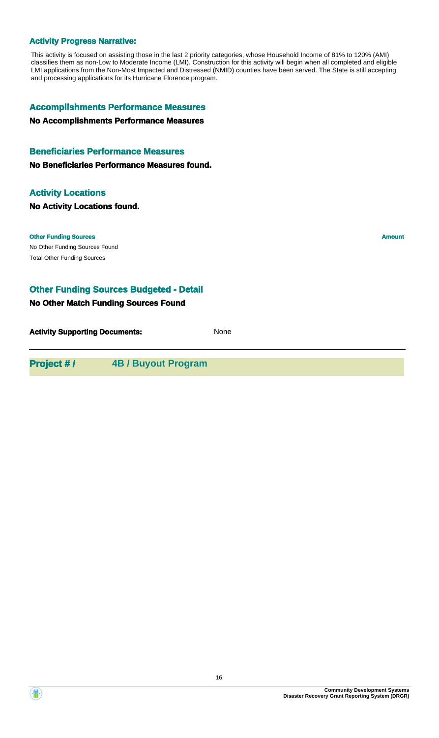#### **Activity Progress Narrative:**

This activity is focused on assisting those in the last 2 priority categories, whose Household Income of 81% to 120% (AMI) classifies them as non-Low to Moderate Income (LMI). Construction for this activity will begin when all completed and eligible LMI applications from the Non-Most Impacted and Distressed (NMID) counties have been served. The State is still accepting and processing applications for its Hurricane Florence program.

#### **Accomplishments Performance Measures**

**No Accomplishments Performance Measures**

#### **Beneficiaries Performance Measures**

**No Beneficiaries Performance Measures found.**

#### **Activity Locations**

**No Activity Locations found.**

#### **Other Funding Sources Amount Amount Amount Amount Amount Amount**

No Other Funding Sources Found Total Other Funding Sources

#### **Other Funding Sources Budgeted - Detail**

#### **No Other Match Funding Sources Found**

**Activity Supporting Documents:** None

**Project # / 4B / Buyout Program**

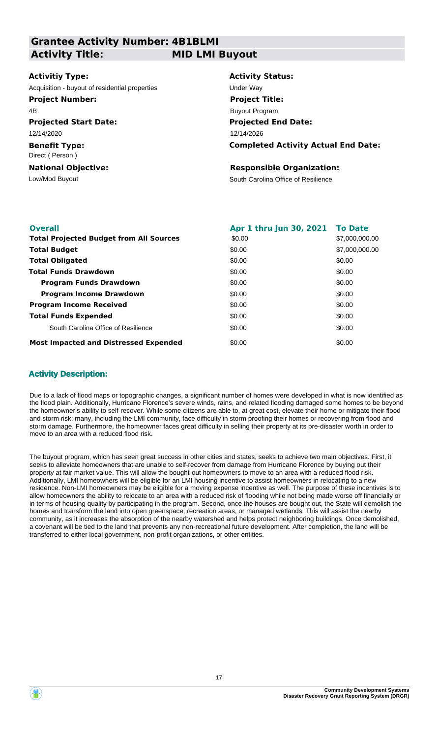**Grantee Activity Number: 4B1BLMI Activity Title: MID LMI Buyout**

# **Activitiy Type:**

Acquisition - buyout of residential properties **Exercise Server Way** 

#### **Project Number:**

4B

**Projected Start Date:** 12/14/2020

**Benefit Type:** Direct ( Person )

**National Objective:**

**Activity Status: Projected End Date: Completed Activity Actual End Date:** 12/14/2026 **Project Title:** Buyout Program

#### **Responsible Organization:**

Low/Mod Buyout **South Carolina Office of Resilience** 

| <b>Overall</b>                                 | Apr 1 thru Jun 30, 2021 To Date |                |
|------------------------------------------------|---------------------------------|----------------|
| <b>Total Projected Budget from All Sources</b> | \$0.00                          | \$7,000,000.00 |
| <b>Total Budget</b>                            | \$0.00                          | \$7,000,000.00 |
| <b>Total Obligated</b>                         | \$0.00                          | \$0.00         |
| <b>Total Funds Drawdown</b>                    | \$0.00                          | \$0.00         |
| <b>Program Funds Drawdown</b>                  | \$0.00                          | \$0.00         |
| <b>Program Income Drawdown</b>                 | \$0.00                          | \$0.00         |
| <b>Program Income Received</b>                 | \$0.00                          | \$0.00         |
| <b>Total Funds Expended</b>                    | \$0.00                          | \$0.00         |
| South Carolina Office of Resilience            | \$0.00                          | \$0.00         |
| <b>Most Impacted and Distressed Expended</b>   | \$0.00                          | \$0.00         |

#### **Activity Description:**

Due to a lack of flood maps or topographic changes, a significant number of homes were developed in what is now identified as the flood plain. Additionally, Hurricane Florence's severe winds, rains, and related flooding damaged some homes to be beyond the homeowner's ability to self-recover. While some citizens are able to, at great cost, elevate their home or mitigate their flood and storm risk; many, including the LMI community, face difficulty in storm proofing their homes or recovering from flood and storm damage. Furthermore, the homeowner faces great difficulty in selling their property at its pre-disaster worth in order to move to an area with a reduced flood risk.

The buyout program, which has seen great success in other cities and states, seeks to achieve two main objectives. First, it seeks to alleviate homeowners that are unable to self-recover from damage from Hurricane Florence by buying out their property at fair market value. This will allow the bought-out homeowners to move to an area with a reduced flood risk. Additionally, LMI homeowners will be eligible for an LMI housing incentive to assist homeowners in relocating to a new residence. Non-LMI homeowners may be eligible for a moving expense incentive as well. The purpose of these incentives is to allow homeowners the ability to relocate to an area with a reduced risk of flooding while not being made worse off financially or in terms of housing quality by participating in the program. Second, once the houses are bought out, the State will demolish the homes and transform the land into open greenspace, recreation areas, or managed wetlands. This will assist the nearby community, as it increases the absorption of the nearby watershed and helps protect neighboring buildings. Once demolished, a covenant will be tied to the land that prevents any non-recreational future development. After completion, the land will be transferred to either local government, non-profit organizations, or other entities.

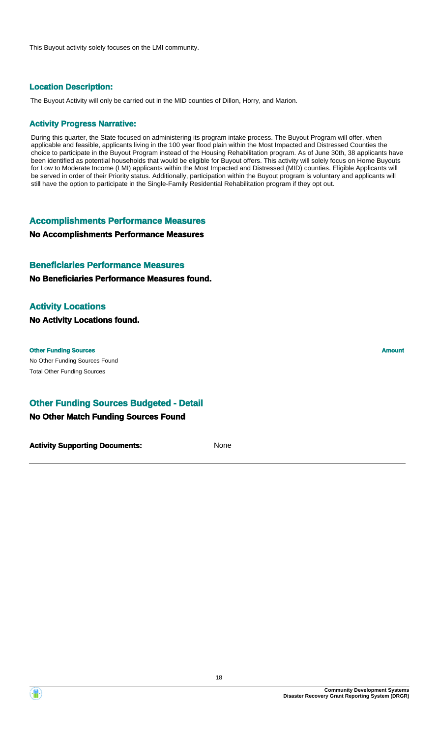This Buyout activity solely focuses on the LMI community.

#### **Location Description:**

The Buyout Activity will only be carried out in the MID counties of Dillon, Horry, and Marion.

#### **Activity Progress Narrative:**

During this quarter, the State focused on administering its program intake process. The Buyout Program will offer, when applicable and feasible, applicants living in the 100 year flood plain within the Most Impacted and Distressed Counties the choice to participate in the Buyout Program instead of the Housing Rehabilitation program. As of June 30th, 38 applicants have been identified as potential households that would be eligible for Buyout offers. This activity will solely focus on Home Buyouts for Low to Moderate Income (LMI) applicants within the Most Impacted and Distressed (MID) counties. Eligible Applicants will be served in order of their Priority status. Additionally, participation within the Buyout program is voluntary and applicants will still have the option to participate in the Single-Family Residential Rehabilitation program if they opt out.

**Accomplishments Performance Measures**

**No Accomplishments Performance Measures**

#### **Beneficiaries Performance Measures**

**No Beneficiaries Performance Measures found.**

#### **Activity Locations**

**No Activity Locations found.**

#### **Other Funding Sources Amount**

No Other Funding Sources Found Total Other Funding Sources

#### **Other Funding Sources Budgeted - Detail**

#### **No Other Match Funding Sources Found**

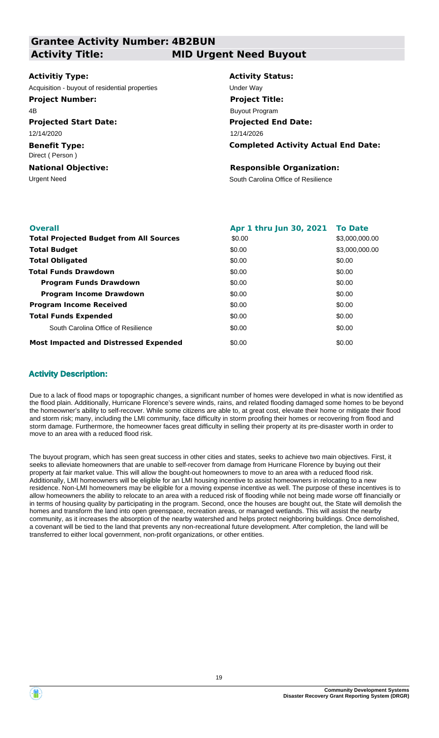**Grantee Activity Number: 4B2BUN Projected Start Date: Benefit Type:** Urgent Need **South Carolina Office of Resilience National Objective: Activity Status: Projected End Date: Completed Activity Actual End Date: Activitiy Type:** 12/14/2026 12/14/2020 Direct ( Person ) **Responsible Organization:** Acquisition - buyout of residential properties **Exercise Server Way Activity Title: MID Urgent Need Buyout Project Number:** 4B **Project Title:** Buyout Program

| <b>Overall</b>                                 | Apr 1 thru Jun 30, 2021 To Date |                |
|------------------------------------------------|---------------------------------|----------------|
| <b>Total Projected Budget from All Sources</b> | \$0.00                          | \$3,000,000.00 |
| <b>Total Budget</b>                            | \$0.00                          | \$3,000,000.00 |
| <b>Total Obligated</b>                         | \$0.00                          | \$0.00         |
| <b>Total Funds Drawdown</b>                    | \$0.00                          | \$0.00         |
| <b>Program Funds Drawdown</b>                  | \$0.00                          | \$0.00         |
| <b>Program Income Drawdown</b>                 | \$0.00                          | \$0.00         |
| <b>Program Income Received</b>                 | \$0.00                          | \$0.00         |
| <b>Total Funds Expended</b>                    | \$0.00                          | \$0.00         |
| South Carolina Office of Resilience            | \$0.00                          | \$0.00         |
| <b>Most Impacted and Distressed Expended</b>   | \$0.00                          | \$0.00         |

#### **Activity Description:**

Due to a lack of flood maps or topographic changes, a significant number of homes were developed in what is now identified as the flood plain. Additionally, Hurricane Florence's severe winds, rains, and related flooding damaged some homes to be beyond the homeowner's ability to self-recover. While some citizens are able to, at great cost, elevate their home or mitigate their flood and storm risk; many, including the LMI community, face difficulty in storm proofing their homes or recovering from flood and storm damage. Furthermore, the homeowner faces great difficulty in selling their property at its pre-disaster worth in order to move to an area with a reduced flood risk.

The buyout program, which has seen great success in other cities and states, seeks to achieve two main objectives. First, it seeks to alleviate homeowners that are unable to self-recover from damage from Hurricane Florence by buying out their property at fair market value. This will allow the bought-out homeowners to move to an area with a reduced flood risk. Additionally, LMI homeowners will be eligible for an LMI housing incentive to assist homeowners in relocating to a new residence. Non-LMI homeowners may be eligible for a moving expense incentive as well. The purpose of these incentives is to allow homeowners the ability to relocate to an area with a reduced risk of flooding while not being made worse off financially or in terms of housing quality by participating in the program. Second, once the houses are bought out, the State will demolish the homes and transform the land into open greenspace, recreation areas, or managed wetlands. This will assist the nearby community, as it increases the absorption of the nearby watershed and helps protect neighboring buildings. Once demolished, a covenant will be tied to the land that prevents any non-recreational future development. After completion, the land will be transferred to either local government, non-profit organizations, or other entities.

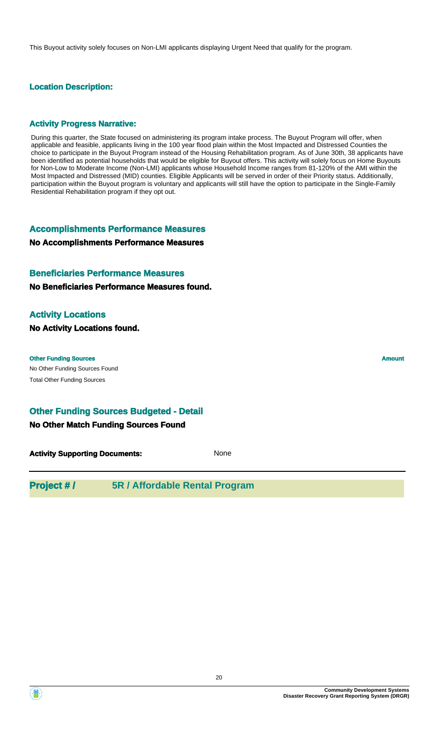This Buyout activity solely focuses on Non-LMI applicants displaying Urgent Need that qualify for the program.

#### **Location Description:**

#### **Activity Progress Narrative:**

During this quarter, the State focused on administering its program intake process. The Buyout Program will offer, when applicable and feasible, applicants living in the 100 year flood plain within the Most Impacted and Distressed Counties the choice to participate in the Buyout Program instead of the Housing Rehabilitation program. As of June 30th, 38 applicants have been identified as potential households that would be eligible for Buyout offers. This activity will solely focus on Home Buyouts for Non-Low to Moderate Income (Non-LMI) applicants whose Household Income ranges from 81-120% of the AMI within the Most Impacted and Distressed (MID) counties. Eligible Applicants will be served in order of their Priority status. Additionally, participation within the Buyout program is voluntary and applicants will still have the option to participate in the Single-Family Residential Rehabilitation program if they opt out.

#### **Accomplishments Performance Measures**

#### **No Accomplishments Performance Measures**

#### **Beneficiaries Performance Measures**

#### **No Beneficiaries Performance Measures found.**

#### **Activity Locations**

**No Activity Locations found.**

#### **Other Funding Sources Amount Amount Amount Amount Amount Amount Amount**

No Other Funding Sources Found Total Other Funding Sources

#### **Other Funding Sources Budgeted - Detail**

#### **No Other Match Funding Sources Found**

**Activity Supporting Documents:** None

### **Project # / 5R / Affordable Rental Program**



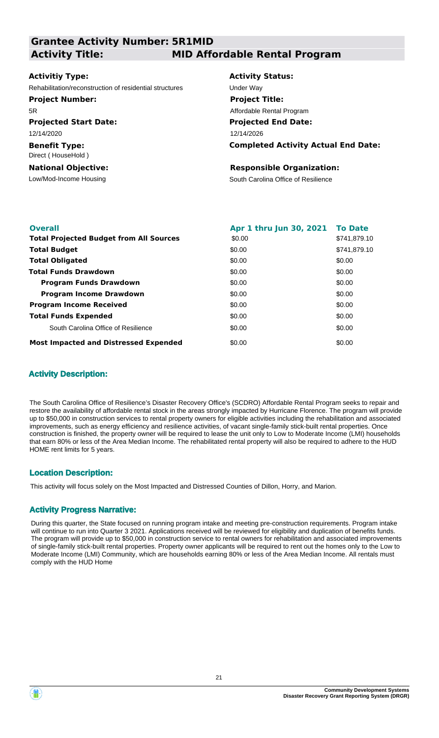| <b>Grantee Activity Number: 5R1MID</b>                  |                                            |  |  |
|---------------------------------------------------------|--------------------------------------------|--|--|
| <b>Activity Title:</b>                                  | <b>MID Affordable Rental Program</b>       |  |  |
|                                                         |                                            |  |  |
| <b>Activitiy Type:</b>                                  | <b>Activity Status:</b>                    |  |  |
| Rehabilitation/reconstruction of residential structures | Under Way                                  |  |  |
| <b>Project Number:</b>                                  | <b>Project Title:</b>                      |  |  |
| 5R                                                      | Affordable Rental Program                  |  |  |
| <b>Projected Start Date:</b>                            | <b>Projected End Date:</b>                 |  |  |
| 12/14/2020                                              | 12/14/2026                                 |  |  |
| <b>Benefit Type:</b><br>Direct (HouseHold)              | <b>Completed Activity Actual End Date:</b> |  |  |
| <b>National Objective:</b>                              | <b>Responsible Organization:</b>           |  |  |
| Low/Mod-Income Housing                                  | South Carolina Office of Resilience        |  |  |
|                                                         |                                            |  |  |
|                                                         |                                            |  |  |

| <b>Overall</b>                                 | Apr 1 thru Jun 30, 2021 To Date |              |
|------------------------------------------------|---------------------------------|--------------|
| <b>Total Projected Budget from All Sources</b> | \$0.00                          | \$741,879.10 |
| <b>Total Budget</b>                            | \$0.00                          | \$741.879.10 |
| <b>Total Obligated</b>                         | \$0.00                          | \$0.00       |
| <b>Total Funds Drawdown</b>                    | \$0.00                          | \$0.00       |
| <b>Program Funds Drawdown</b>                  | \$0.00                          | \$0.00       |
| <b>Program Income Drawdown</b>                 | \$0.00                          | \$0.00       |
| <b>Program Income Received</b>                 | \$0.00                          | \$0.00       |
| <b>Total Funds Expended</b>                    | \$0.00                          | \$0.00       |
| South Carolina Office of Resilience            | \$0.00                          | \$0.00       |
| <b>Most Impacted and Distressed Expended</b>   | \$0.00                          | \$0.00       |

#### **Activity Description:**

The South Carolina Office of Resilience's Disaster Recovery Office's (SCDRO) Affordable Rental Program seeks to repair and restore the availability of affordable rental stock in the areas strongly impacted by Hurricane Florence. The program will provide up to \$50,000 in construction services to rental property owners for eligible activities including the rehabilitation and associated improvements, such as energy efficiency and resilience activities, of vacant single-family stick-built rental properties. Once construction is finished, the property owner will be required to lease the unit only to Low to Moderate Income (LMI) households that earn 80% or less of the Area Median Income. The rehabilitated rental property will also be required to adhere to the HUD HOME rent limits for 5 years.

#### **Location Description:**

This activity will focus solely on the Most Impacted and Distressed Counties of Dillon, Horry, and Marion.

#### **Activity Progress Narrative:**

During this quarter, the State focused on running program intake and meeting pre-construction requirements. Program intake will continue to run into Quarter 3 2021. Applications received will be reviewed for eligibility and duplication of benefits funds. The program will provide up to \$50,000 in construction service to rental owners for rehabilitation and associated improvements of single-family stick-built rental properties. Property owner applicants will be required to rent out the homes only to the Low to Moderate Income (LMI) Community, which are households earning 80% or less of the Area Median Income. All rentals must comply with the HUD Home

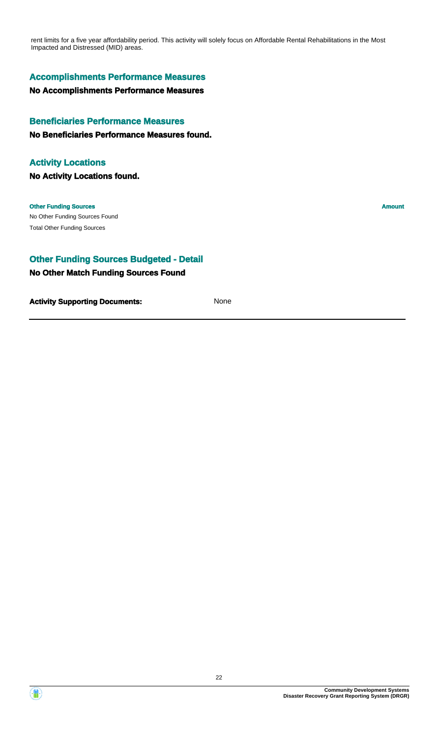rent limits for a five year affordability period. This activity will solely focus on Affordable Rental Rehabilitations in the Most Impacted and Distressed (MID) areas.

#### **Accomplishments Performance Measures**

#### **No Accomplishments Performance Measures**

#### **Beneficiaries Performance Measures**

**No Beneficiaries Performance Measures found.**

#### **Activity Locations**

**No Activity Locations found.**

#### **Other Funding Sources Amount**

No Other Funding Sources Found Total Other Funding Sources

#### **Other Funding Sources Budgeted - Detail**

#### **No Other Match Funding Sources Found**

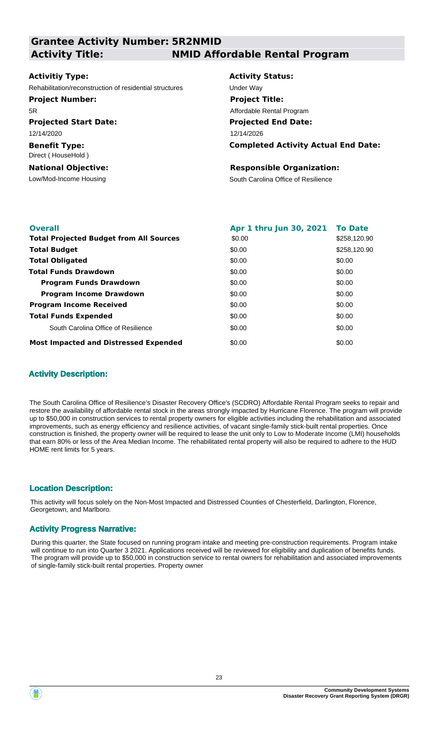| <b>Grantee Activity Number: 5R2NMID</b>                 |                                            |
|---------------------------------------------------------|--------------------------------------------|
| <b>Activity Title:</b>                                  | <b>NMID Affordable Rental Program</b>      |
|                                                         |                                            |
| <b>Activitiy Type:</b>                                  | <b>Activity Status:</b>                    |
| Rehabilitation/reconstruction of residential structures | Under Way                                  |
| <b>Project Number:</b>                                  | <b>Project Title:</b>                      |
| 5R                                                      | Affordable Rental Program                  |
| <b>Projected Start Date:</b>                            | <b>Projected End Date:</b>                 |
| 12/14/2020                                              | 12/14/2026                                 |
| <b>Benefit Type:</b><br>Direct (HouseHold)              | <b>Completed Activity Actual End Date:</b> |
| <b>National Objective:</b>                              | <b>Responsible Organization:</b>           |
| Low/Mod-Income Housing                                  | South Carolina Office of Resilience        |
|                                                         |                                            |
|                                                         |                                            |

| <b>Overall</b>                                 | Apr 1 thru Jun 30, 2021 To Date |              |
|------------------------------------------------|---------------------------------|--------------|
| <b>Total Projected Budget from All Sources</b> | \$0.00                          | \$258,120.90 |
| <b>Total Budget</b>                            | \$0.00                          | \$258,120.90 |
| <b>Total Obligated</b>                         | \$0.00                          | \$0.00       |
| <b>Total Funds Drawdown</b>                    | \$0.00                          | \$0.00       |
| <b>Program Funds Drawdown</b>                  | \$0.00                          | \$0.00       |
| <b>Program Income Drawdown</b>                 | \$0.00                          | \$0.00       |
| <b>Program Income Received</b>                 | \$0.00                          | \$0.00       |
| <b>Total Funds Expended</b>                    | \$0.00                          | \$0.00       |
| South Carolina Office of Resilience            | \$0.00                          | \$0.00       |
| <b>Most Impacted and Distressed Expended</b>   | \$0.00                          | \$0.00       |

#### **Activity Description:**

The South Carolina Office of Resilience's Disaster Recovery Office's (SCDRO) Affordable Rental Program seeks to repair and restore the availability of affordable rental stock in the areas strongly impacted by Hurricane Florence. The program will provide up to \$50,000 in construction services to rental property owners for eligible activities including the rehabilitation and associated improvements, such as energy efficiency and resilience activities, of vacant single-family stick-built rental properties. Once construction is finished, the property owner will be required to lease the unit only to Low to Moderate Income (LMI) households that earn 80% or less of the Area Median Income. The rehabilitated rental property will also be required to adhere to the HUD HOME rent limits for 5 years.

#### **Location Description:**

This activity will focus solely on the Non-Most Impacted and Distressed Counties of Chesterfield, Darlington, Florence, Georgetown, and Marlboro.

#### **Activity Progress Narrative:**

During this quarter, the State focused on running program intake and meeting pre-construction requirements. Program intake will continue to run into Quarter 3 2021. Applications received will be reviewed for eligibility and duplication of benefits funds. The program will provide up to \$50,000 in construction service to rental owners for rehabilitation and associated improvements of single-family stick-built rental properties. Property owner